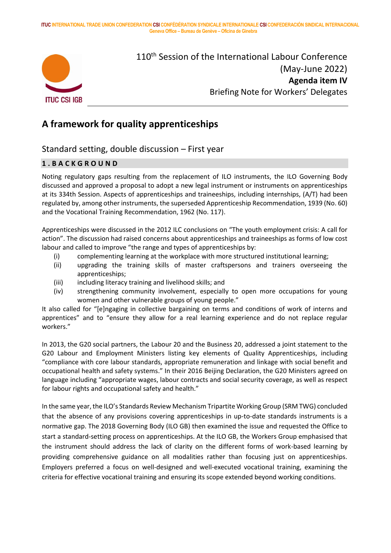**ITUC INTERNATIONAL TRADE UNION CONFEDERATION CSI CONFÉDÉRATION SYNDICALE INTERNATIONALE CSI CONFEDERACIÓN SINDICAL INTERNACIONAL Geneva Office – Bureau de Genève – Oficina de Ginebra**



110<sup>th</sup> Session of the International Labour Conference (May-June 2022) **Agenda item IV** Briefing Note for Workers' Delegates

# **A framework for quality apprenticeships**

# Standard setting, double discussion – First year

# **1 . B A C K G R O U N D**

Noting regulatory gaps resulting from the replacement of ILO instruments, the ILO Governing Body discussed and approved a proposal to adopt a new legal instrument or instruments on apprenticeships at its 334th Session. Aspects of apprenticeships and traineeships, including internships, (A/T) had been regulated by, among other instruments, the superseded Apprenticeship Recommendation, 1939 (No. 60) and the Vocational Training Recommendation, 1962 (No. 117).

Apprenticeships were discussed in the 2012 ILC conclusions on "The youth employment crisis: A call for action". The discussion had raised concerns about apprenticeships and traineeships as forms of low cost labour and called to improve "the range and types of apprenticeships by:

- (i) complementing learning at the workplace with more structured institutional learning;
- (ii) upgrading the training skills of master craftspersons and trainers overseeing the apprenticeships;
- (iii) including literacy training and livelihood skills; and
- (iv) strengthening community involvement, especially to open more occupations for young women and other vulnerable groups of young people."

It also called for "[e]ngaging in collective bargaining on terms and conditions of work of interns and apprentices" and to "ensure they allow for a real learning experience and do not replace regular workers."

In 2013, the G20 social partners, the Labour 20 and the Business 20, addressed a joint statement to the G20 Labour and Employment Ministers listing key elements of Quality Apprenticeships, including "compliance with core labour standards, appropriate remuneration and linkage with social benefit and occupational health and safety systems." In their 2016 Beijing Declaration, the G20 Ministers agreed on language including "appropriate wages, labour contracts and social security coverage, as well as respect for labour rights and occupational safety and health."

In the same year, the ILO's Standards Review Mechanism Tripartite Working Group (SRM TWG) concluded that the absence of any provisions covering apprenticeships in up-to-date standards instruments is a normative gap. The 2018 Governing Body (ILO GB) then examined the issue and requested the Office to start a standard-setting process on apprenticeships. At the ILO GB, the Workers Group emphasised that the instrument should address the lack of clarity on the different forms of work-based learning by providing comprehensive guidance on all modalities rather than focusing just on apprenticeships. Employers preferred a focus on well-designed and well-executed vocational training, examining the criteria for effective vocational training and ensuring its scope extended beyond working conditions.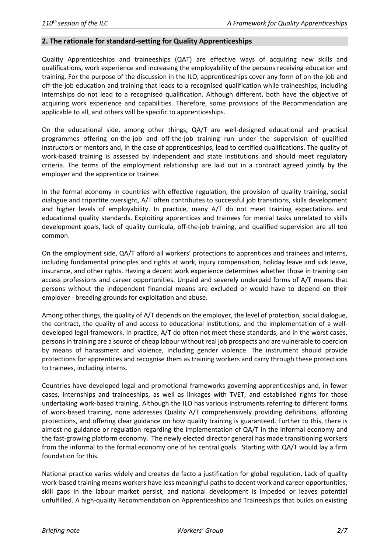#### **2. The rationale for standard-setting for Quality Apprenticeships**

Quality Apprenticeships and traineeships (QAT) are effective ways of acquiring new skills and qualifications, work experience and increasing the employability of the persons receiving education and training. For the purpose of the discussion in the ILO, apprenticeships cover any form of on-the-job and off-the-job education and training that leads to a recognised qualification while traineeships, including internships do not lead to a recognised qualification. Although different, both have the objective of acquiring work experience and capabilities. Therefore, some provisions of the Recommendation are applicable to all, and others will be specific to apprenticeships.

On the educational side, among other things, QA/T are well-designed educational and practical programmes offering on-the-job and off-the-job training run under the supervision of qualified instructors or mentors and, in the case of apprenticeships, lead to certified qualifications. The quality of work-based training is assessed by independent and state institutions and should meet regulatory criteria. The terms of the employment relationship are laid out in a contract agreed jointly by the employer and the apprentice or trainee.

In the formal economy in countries with effective regulation, the provision of quality training, social dialogue and tripartite oversight, A/T often contributes to successful job transitions, skills development and higher levels of employability. In practice, many A/T do not meet training expectations and educational quality standards. Exploiting apprentices and trainees for menial tasks unrelated to skills development goals, lack of quality curricula, off-the-job training, and qualified supervision are all too common.

On the employment side, QA/T afford all workers' protections to apprentices and trainees and interns, including fundamental principles and rights at work, injury compensation, holiday leave and sick leave, insurance, and other rights. Having a decent work experience determines whether those in training can access professions and career opportunities. Unpaid and severely underpaid forms of A/T means that persons without the independent financial means are excluded or would have to depend on their employer - breeding grounds for exploitation and abuse.

Among other things, the quality of A/T depends on the employer, the level of protection, social dialogue, the contract, the quality of and access to educational institutions, and the implementation of a welldeveloped legal framework. In practice, A/T do often not meet these standards, and in the worst cases, persons in training are a source of cheap labour without real job prospects and are vulnerable to coercion by means of harassment and violence, including gender violence. The instrument should provide protections for apprentices and recognise them as training workers and carry through these protections to trainees, including interns.

Countries have developed legal and promotional frameworks governing apprenticeships and, in fewer cases, internships and traineeships, as well as linkages with TVET, and established rights for those undertaking work-based training. Although the ILO has various instruments referring to different forms of work-based training, none addresses Quality A/T comprehensively providing definitions, affording protections, and offering clear guidance on how quality training is guaranteed. Further to this, there is almost no guidance or regulation regarding the implementation of QA/T in the informal economy and the fast-growing platform economy. The newly elected director general has made transitioning workers from the informal to the formal economy one of his central goals. Starting with QA/T would lay a firm foundation for this.

National practice varies widely and creates de facto a justification for global regulation. Lack of quality work-based training means workers have less meaningful paths to decent work and career opportunities, skill gaps in the labour market persist, and national development is impeded or leaves potential unfulfilled. A high-quality Recommendation on Apprenticeships and Traineeships that builds on existing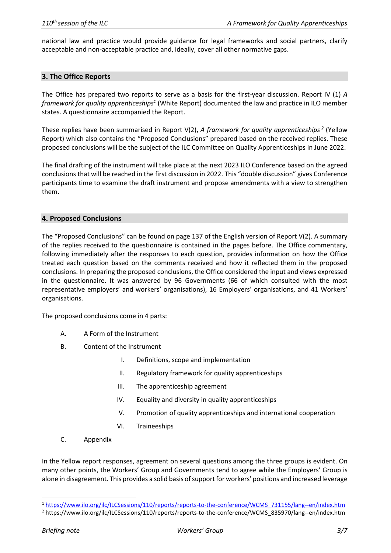national law and practice would provide guidance for legal frameworks and social partners, clarify acceptable and non-acceptable practice and, ideally, cover all other normative gaps.

#### **3. The Office Reports**

The Office has prepared two reports to serve as a basis for the first-year discussion. Report IV (1) *A framework for quality apprenticeships<sup>1</sup>* (White Report) documented the law and practice in ILO member states. A questionnaire accompanied the Report.

These replies have been summarised in Report V(2), *A framework for quality apprenticeships 2* (Yellow Report) which also contains the "Proposed Conclusions" prepared based on the received replies. These proposed conclusions will be the subject of the ILC Committee on Quality Apprenticeships in June 2022.

The final drafting of the instrument will take place at the next 2023 ILO Conference based on the agreed conclusions that will be reached in the first discussion in 2022. This "double discussion" gives Conference participants time to examine the draft instrument and propose amendments with a view to strengthen them.

#### **4. Proposed Conclusions**

The "Proposed Conclusions" can be found on page 137 of the English version of Report V(2). A summary of the replies received to the questionnaire is contained in the pages before. The Office commentary, following immediately after the responses to each question, provides information on how the Office treated each question based on the comments received and how it reflected them in the proposed conclusions. In preparing the proposed conclusions, the Office considered the input and views expressed in the questionnaire. It was answered by 96 Governments (66 of which consulted with the most representative employers' and workers' organisations), 16 Employers' organisations, and 41 Workers' organisations.

The proposed conclusions come in 4 parts:

- A. A Form of the Instrument
- B. Content of the Instrument
	- I. Definitions, scope and implementation
	- II. Regulatory framework for quality apprenticeships
	- III. The apprenticeship agreement
	- IV. Equality and diversity in quality apprenticeships
	- V. Promotion of quality apprenticeships and international cooperation
	- VI. Traineeships
- C. Appendix

In the Yellow report responses, agreement on several questions among the three groups is evident. On many other points, the Workers' Group and Governments tend to agree while the Employers' Group is alone in disagreement. This provides a solid basis of support for workers' positions and increased leverage

<sup>1</sup> [https://www.ilo.org/ilc/ILCSessions/110/reports/reports-to-the-conference/WCMS\\_731155/lang--en/index.htm](https://www.ilo.org/ilc/ILCSessions/110/reports/reports-to-the-conference/WCMS_731155/lang--en/index.htm)

<sup>2</sup> https://www.ilo.org/ilc/ILCSessions/110/reports/reports-to-the-conference/WCMS\_835970/lang--en/index.htm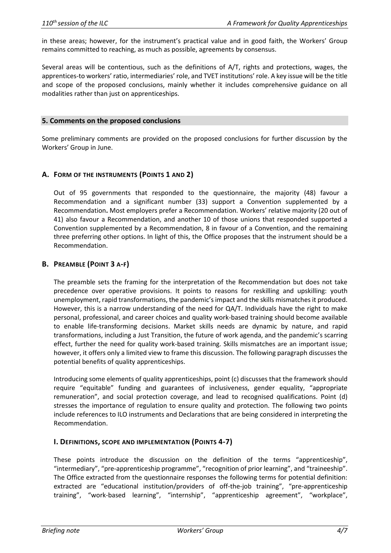in these areas; however, for the instrument's practical value and in good faith, the Workers' Group remains committed to reaching, as much as possible, agreements by consensus.

Several areas will be contentious, such as the definitions of A/T, rights and protections, wages, the apprentices-to workers' ratio, intermediaries' role, and TVET institutions' role. A key issue will be the title and scope of the proposed conclusions, mainly whether it includes comprehensive guidance on all modalities rather than just on apprenticeships.

#### **5. Comments on the proposed conclusions**

Some preliminary comments are provided on the proposed conclusions for further discussion by the Workers' Group in June.

#### **A. FORM OF THE INSTRUMENTS (POINTS 1 AND 2)**

Out of 95 governments that responded to the questionnaire, the majority (48) favour a Recommendation and a significant number (33) support a Convention supplemented by a Recommendation**.** Most employers prefer a Recommendation. Workers' relative majority (20 out of 41) also favour a Recommendation, and another 10 of those unions that responded supported a Convention supplemented by a Recommendation, 8 in favour of a Convention, and the remaining three preferring other options. In light of this, the Office proposes that the instrument should be a Recommendation.

#### **B. PREAMBLE (POINT 3 A-F)**

The preamble sets the framing for the interpretation of the Recommendation but does not take precedence over operative provisions. It points to reasons for reskilling and upskilling: youth unemployment, rapid transformations, the pandemic's impact and the skills mismatchesit produced. However, this is a narrow understanding of the need for QA/T. Individuals have the right to make personal, professional, and career choices and quality work-based training should become available to enable life-transforming decisions. Market skills needs are dynamic by nature, and rapid transformations, including a Just Transition, the future of work agenda, and the pandemic's scarring effect, further the need for quality work-based training. Skills mismatches are an important issue; however, it offers only a limited view to frame this discussion. The following paragraph discusses the potential benefits of quality apprenticeships.

Introducing some elements of quality apprenticeships, point (c) discusses that the framework should require "equitable" funding and guarantees of inclusiveness, gender equality, "appropriate remuneration", and social protection coverage, and lead to recognised qualifications. Point (d) stresses the importance of regulation to ensure quality and protection. The following two points include references to ILO instruments and Declarations that are being considered in interpreting the Recommendation.

#### **I. DEFINITIONS, SCOPE AND IMPLEMENTATION (POINTS 4-7)**

These points introduce the discussion on the definition of the terms "apprenticeship", "intermediary", "pre-apprenticeship programme", "recognition of prior learning", and "traineeship". The Office extracted from the questionnaire responses the following terms for potential definition: extracted are "educational institution/providers of off-the-job training", "pre-apprenticeship training", "work-based learning", "internship", "apprenticeship agreement", "workplace",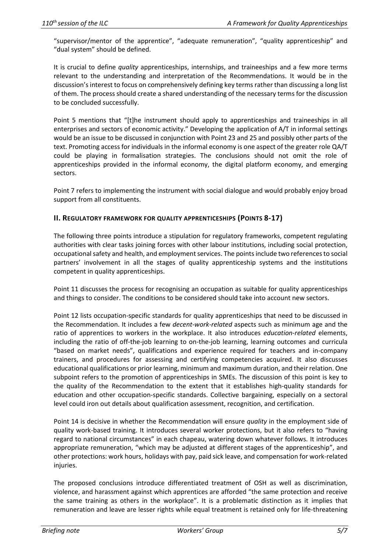"supervisor/mentor of the apprentice", "adequate remuneration", "quality apprenticeship" and "dual system" should be defined.

It is crucial to define *quality* apprenticeships, internships, and traineeships and a few more terms relevant to the understanding and interpretation of the Recommendations. It would be in the discussion's interest to focus on comprehensively defining key terms rather than discussing a long list of them. The process should create a shared understanding of the necessary terms for the discussion to be concluded successfully.

Point 5 mentions that "[t]he instrument should apply to apprenticeships and traineeships in all enterprises and sectors of economic activity." Developing the application of A/T in informal settings would be an issue to be discussed in conjunction with Point 23 and 25 and possibly other parts of the text. Promoting access for individuals in the informal economy is one aspect of the greater role QA/T could be playing in formalisation strategies. The conclusions should not omit the role of apprenticeships provided in the informal economy, the digital platform economy, and emerging sectors.

Point 7 refers to implementing the instrument with social dialogue and would probably enjoy broad support from all constituents.

## **II. REGULATORY FRAMEWORK FOR QUALITY APPRENTICESHIPS (POINTS 8-17)**

The following three points introduce a stipulation for regulatory frameworks, competent regulating authorities with clear tasks joining forces with other labour institutions, including social protection, occupational safety and health, and employment services. The points include two references to social partners' involvement in all the stages of quality apprenticeship systems and the institutions competent in quality apprenticeships.

Point 11 discusses the process for recognising an occupation as suitable for quality apprenticeships and things to consider. The conditions to be considered should take into account new sectors.

Point 12 lists occupation-specific standards for quality apprenticeships that need to be discussed in the Recommendation. It includes a few *decent-work-related* aspects such as minimum age and the ratio of apprentices to workers in the workplace. It also introduces *education-related* elements, including the ratio of off-the-job learning to on-the-job learning, learning outcomes and curricula "based on market needs", qualifications and experience required for teachers and in-company trainers, and procedures for assessing and certifying competencies acquired. It also discusses educational qualifications or prior learning, minimum and maximum duration, and their relation. One subpoint refers to the promotion of apprenticeships in SMEs. The discussion of this point is key to the quality of the Recommendation to the extent that it establishes high-quality standards for education and other occupation-specific standards. Collective bargaining, especially on a sectoral level could iron out details about qualification assessment, recognition, and certification.

Point 14 is decisive in whether the Recommendation will ensure *quality* in the employment side of quality work-based training. It introduces several worker protections, but it also refers to "having regard to national circumstances" in each chapeau, watering down whatever follows. It introduces appropriate remuneration, "which may be adjusted at different stages of the apprenticeship", and other protections: work hours, holidays with pay, paid sick leave, and compensation for work-related injuries.

The proposed conclusions introduce differentiated treatment of OSH as well as discrimination, violence, and harassment against which apprentices are afforded "the same protection and receive the same training as others in the workplace". It is a problematic distinction as it implies that remuneration and leave are lesser rights while equal treatment is retained only for life-threatening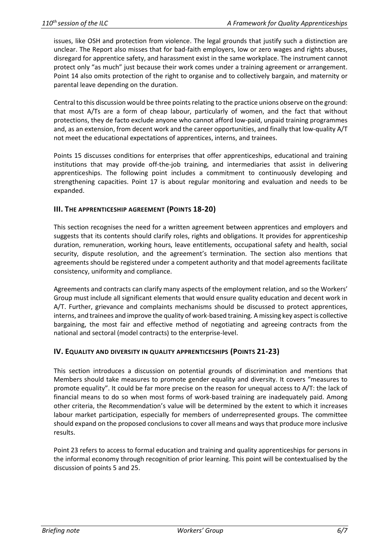issues, like OSH and protection from violence. The legal grounds that justify such a distinction are unclear. The Report also misses that for bad-faith employers, low or zero wages and rights abuses, disregard for apprentice safety, and harassment exist in the same workplace. The instrument cannot protect only "as much" just because their work comes under a training agreement or arrangement. Point 14 also omits protection of the right to organise and to collectively bargain, and maternity or parental leave depending on the duration.

Central to this discussion would be three points relating to the practice unions observe on the ground: that most A/Ts are a form of cheap labour, particularly of women, and the fact that without protections, they de facto exclude anyone who cannot afford low-paid, unpaid training programmes and, as an extension, from decent work and the career opportunities, and finally that low-quality A/T not meet the educational expectations of apprentices, interns, and trainees.

Points 15 discusses conditions for enterprises that offer apprenticeships, educational and training institutions that may provide off-the-job training, and intermediaries that assist in delivering apprenticeships. The following point includes a commitment to continuously developing and strengthening capacities. Point 17 is about regular monitoring and evaluation and needs to be expanded.

## **III. THE APPRENTICESHIP AGREEMENT (POINTS 18-20)**

This section recognises the need for a written agreement between apprentices and employers and suggests that its contents should clarify roles, rights and obligations. It provides for apprenticeship duration, remuneration, working hours, leave entitlements, occupational safety and health, social security, dispute resolution, and the agreement's termination. The section also mentions that agreements should be registered under a competent authority and that model agreements facilitate consistency, uniformity and compliance.

Agreements and contracts can clarify many aspects of the employment relation, and so the Workers' Group must include all significant elements that would ensure quality education and decent work in A/T. Further, grievance and complaints mechanisms should be discussed to protect apprentices, interns, and trainees and improve the quality of work-based training. A missing key aspect is collective bargaining, the most fair and effective method of negotiating and agreeing contracts from the national and sectoral (model contracts) to the enterprise-level.

## **IV. EQUALITY AND DIVERSITY IN QUALITY APPRENTICESHIPS (POINTS 21-23)**

This section introduces a discussion on potential grounds of discrimination and mentions that Members should take measures to promote gender equality and diversity. It covers "measures to promote equality". It could be far more precise on the reason for unequal access to A/T: the lack of financial means to do so when most forms of work-based training are inadequately paid. Among other criteria, the Recommendation's value will be determined by the extent to which it increases labour market participation, especially for members of underrepresented groups. The committee should expand on the proposed conclusions to cover all means and ways that produce more inclusive results.

Point 23 refers to access to formal education and training and quality apprenticeships for persons in the informal economy through recognition of prior learning. This point will be contextualised by the discussion of points 5 and 25.